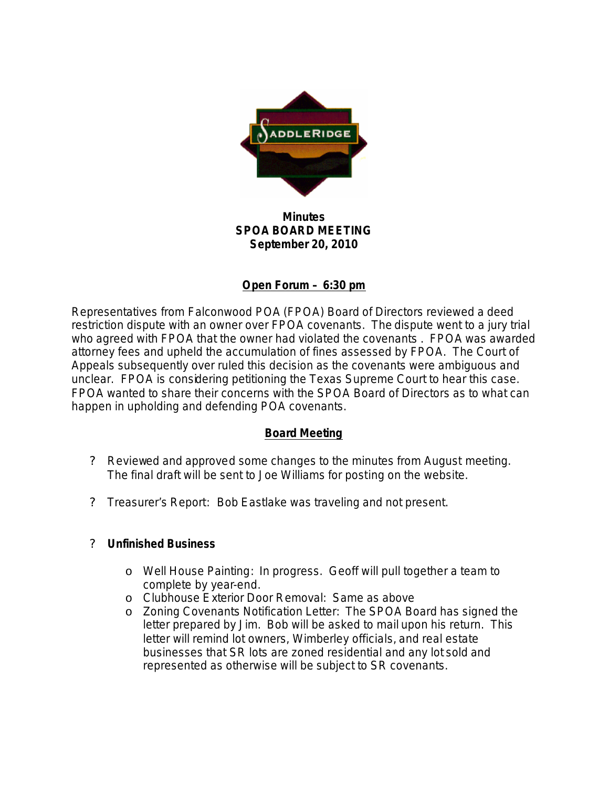

### **Minutes SPOA BOARD MEETING September 20, 2010**

# **Open Forum – 6:30 pm**

Representatives from Falconwood POA (FPOA) Board of Directors reviewed a deed restriction dispute with an owner over FPOA covenants. The dispute went to a jury trial who agreed with FPOA that the owner had violated the covenants . FPOA was awarded attorney fees and upheld the accumulation of fines assessed by FPOA. The Court of Appeals subsequently over ruled this decision as the covenants were ambiguous and unclear. FPOA is considering petitioning the Texas Supreme Court to hear this case. FPOA wanted to share their concerns with the SPOA Board of Directors as to what can happen in upholding and defending POA covenants.

## **Board Meeting**

- ? Reviewed and approved some changes to the minutes from August meeting. The final draft will be sent to Joe Williams for posting on the website.
- ? Treasurer's Report:Bob Eastlake was traveling and not present.

#### ? **Unfinished Business**

- o Well House Painting: In progress. Geoff will pull together a team to complete by year-end.
- o Clubhouse Exterior Door Removal: Same as above
- o Zoning Covenants Notification Letter: The SPOA Board has signed the letter prepared by Jim. Bob will be asked to mail upon his return. This letter will remind lot owners, Wimberley officials, and real estate businesses that SR lots are zoned residential and any lot sold and represented as otherwise will be subject to SR covenants.